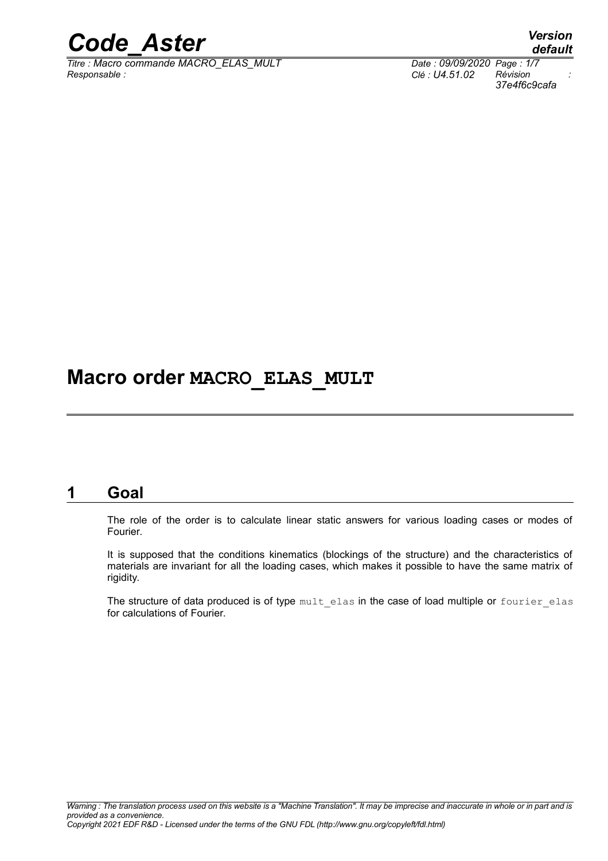

*Titre : Macro commande MACRO\_ELAS\_MULT Date : 09/09/2020 Page : 1/7 Responsable : Clé : U4.51.02 Révision :*

## **Macro order MACRO\_ELAS\_MULT**

### **1 Goal**

The role of the order is to calculate linear static answers for various loading cases or modes of Fourier.

It is supposed that the conditions kinematics (blockings of the structure) and the characteristics of materials are invariant for all the loading cases, which makes it possible to have the same matrix of rigidity.

The structure of data produced is of type mult elas in the case of load multiple or fourier elas for calculations of Fourier.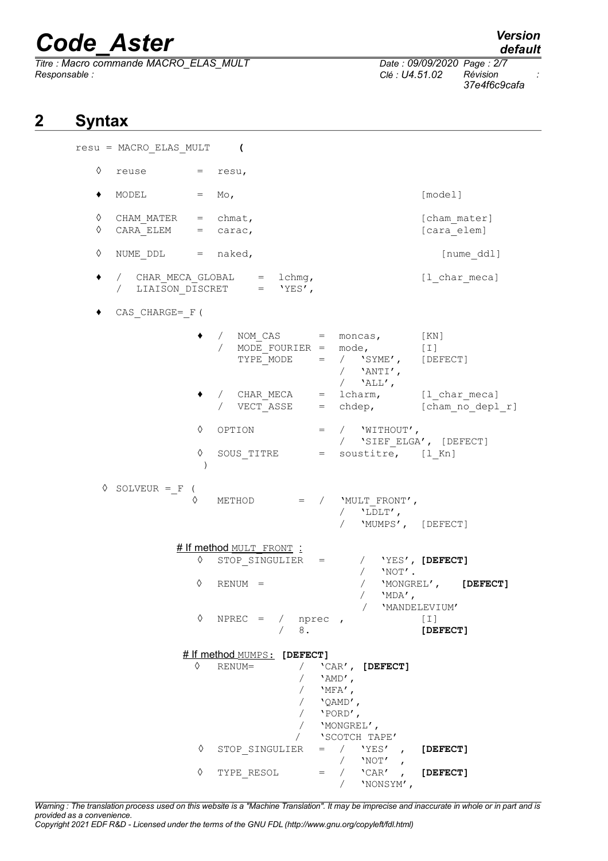*Titre : Macro commande MACRO\_ELAS\_MULT Date : 09/09/2020 Page : 2/7 Responsable : Clé : U4.51.02 Révision :*

*37e4f6c9cafa*

## **2 Syntax**

resu = MACRO\_ELAS\_MULT **(**  $\Diamond$  reuse = resu,  $\bullet$  MODEL = Mo,  $[\text{model}]$ ◊ CHAM\_MATER = chmat, [cham\_mater]  $CARA$  ELEM = carac,  $\begin{bmatrix} \text{cara}^{-} \end{bmatrix}$ ◊ NUME\_DDL = naked, [nume\_ddl]  $\bullet$  / CHAR\_MECA\_GLOBAL = lchmg,  $[1 \text{ char meca}]$ / LIAISON DISCRET = 'YES', ♦ CAS\_CHARGE=\_F(  $\bullet$  / NOM CAS = moncas,  $[KN]$ / MODE\_FOURIER = mode, [I]<br>TYPE\_MODE = / 'SYME', [DEFECT]  $TYPE\nightharpoonup \text{MODE}$  = /  $'SYME'$ ,  $\overline{1}$  'ANTI',  $/$  'ALL', / CHAR\_MECA = lcharm, [l\_char\_meca]<br>
/ VECT\_ASSE = chdep, [cham\_no\_depl [cham no depl r] ◊ OPTION = / 'WITHOUT', / 'SIEF\_ELGA', [DEFECT]  $\Diamond$  SOUS TITRE = soustitre, [l Kn] )  $\Diamond$  SOLVEUR = F (  $METHOD = / WULT FROMT'$ ,  $/$  'LDLT', / 'MUMPS', [DEFECT] # If method MULT FRONT : ◊ STOP\_SINGULIER = / 'YES', **[DEFECT]**  $/$  'NOT'. ◊ RENUM = / 'MONGREL', **[DEFECT]**  $/$  'MDA', / 'MANDELEVIUM'<br>NPREC = / nprec , [I]  $\Diamond$  NPREC = / nprec , [I] / 8. **[DEFECT] # If method MUMPS: [DEFECT]**<br>◊ RENUM= / <sup>^</sup>C / 'CAR', **[DEFECT]**  $/$  'AMD', / 'MFA',<br>/ 'OAMD' / 'QAMD', / 'PORD', / 'MONGREL',  $\begin{array}{ccccc}\n\text{'SCOTCH} & \text{TAPE'}\\
= & / & \text{'YES'}\\
\end{array},$  ◊ STOP\_SINGULIER = / 'YES' , **[DEFECT]**  $\begin{array}{ccc} / & 'NOT' \\ / & 'CAR' \\ \end{array},$ ◊ TYPE\_RESOL = / 'CAR' , **[DEFECT]**

*Warning : The translation process used on this website is a "Machine Translation". It may be imprecise and inaccurate in whole or in part and is provided as a convenience.*

/ 'NONSYM',

*Copyright 2021 EDF R&D - Licensed under the terms of the GNU FDL (http://www.gnu.org/copyleft/fdl.html)*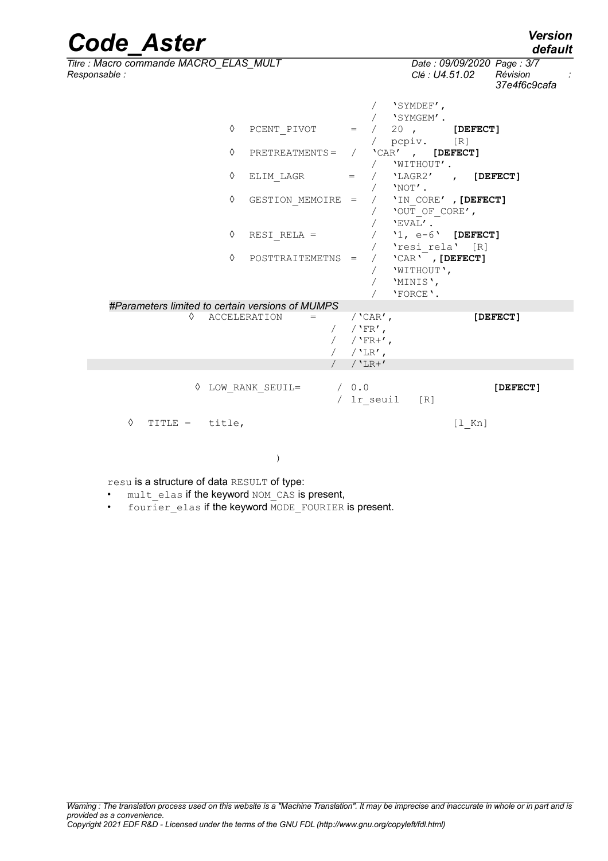| <b>Code Aster</b>                                       |                   |                                                            |                                                              |          | <b>Version</b><br>default     |
|---------------------------------------------------------|-------------------|------------------------------------------------------------|--------------------------------------------------------------|----------|-------------------------------|
| Titre : Macro commande MACRO_ELAS_MULT<br>Responsable : |                   |                                                            | Date: 09/09/2020 Page: 3/7<br>Révision<br>Clé : U4.51.02     |          | $\mathcal{L}$<br>37e4f6c9cafa |
|                                                         |                   |                                                            | 'SYMDEF',<br>'SYMGEM'.                                       |          |                               |
| ♦                                                       | PCENT PIVOT       | $=$ $-$<br>$\sqrt{2}$<br>$\sqrt{2}$                        | 20, [DEFECT]<br>pcpiv. [R]                                   |          |                               |
| $\Diamond$                                              | $PRETREATMENTS =$ |                                                            | / $'$ CAR', [DEFECT]<br>/ 'WITHOUT'.                         |          |                               |
| ♦                                                       | ELIM LAGR         | $=$<br>$\sqrt{2}$                                          | 'LAGR2' , [DEFECT]<br>$'$ NOT $'$ .                          |          |                               |
| ♦                                                       | GESTION MEMOIRE = |                                                            | / 'IN CORE', [DEFECT]<br>'OUT OF CORE',<br>'EVAL'.           |          |                               |
| ♦                                                       | RESI RELA =       |                                                            | '1, $e-6$ ' [DEFECT]<br>'resi rela' [R]                      |          |                               |
| ♦                                                       | POSTTRAITEMETNS = | $\sqrt{2}$                                                 | $'$ CAR $'$ , [DEFECT]<br>'WITHOUT',<br>'MINIS',<br>'FORCE'. |          |                               |
| #Parameters limited to certain versions of MUMPS        |                   |                                                            |                                                              |          |                               |
| ♦<br><b>ACCELERATION</b>                                | $=$               | / $'$ CAR $'$ ,<br>/ $'FR'$ ,<br>/ $'$ FR+',<br>/ $'$ LR', |                                                              |          | [DEFECT]                      |
|                                                         |                   | $/$ 'LR+'                                                  |                                                              |          |                               |
| LOW RANK SEUIL=                                         |                   | / 0.0<br>/ lr seuil                                        | $\lceil R \rceil$                                            |          | [DEFECT]                      |
| ♦<br>TITLE = $title,$                                   |                   |                                                            |                                                              | $[1$ Kn] |                               |

)

resu is a structure of data RESULT of type:

• mult elas if the keyword NOM CAS is present,

• fourier\_elas if the keyword MODE\_FOURIER is present.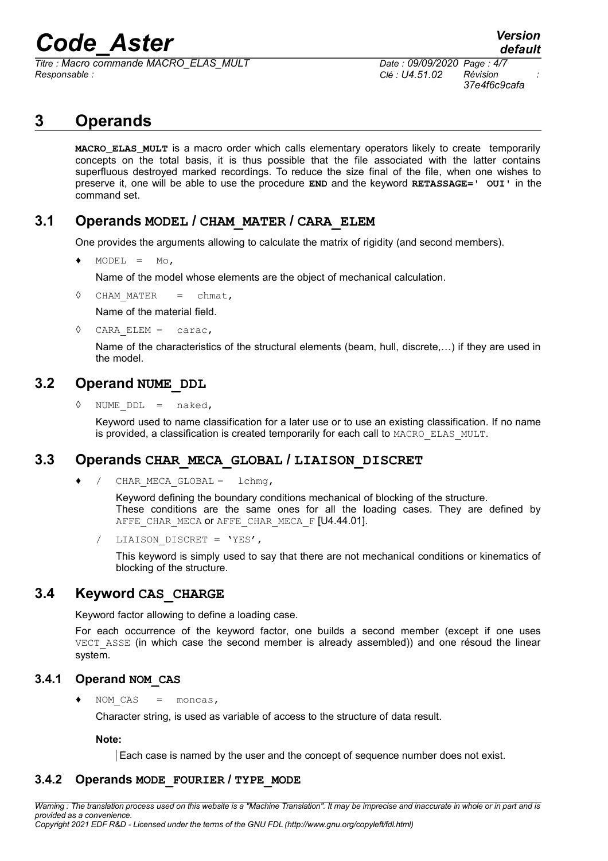*Titre : Macro commande MACRO\_ELAS\_MULT Date : 09/09/2020 Page : 4/7 Responsable : Clé : U4.51.02 Révision :*

*37e4f6c9cafa*

## **3 Operands**

**MACRO\_ELAS\_MULT** is a macro order which calls elementary operators likely to create temporarily concepts on the total basis, it is thus possible that the file associated with the latter contains superfluous destroyed marked recordings. To reduce the size final of the file, when one wishes to preserve it, one will be able to use the procedure **END** and the keyword **RETASSAGE=' OUI'** in the command set.

#### **3.1 Operands MODEL / CHAM\_MATER / CARA\_ELEM**

One provides the arguments allowing to calculate the matrix of rigidity (and second members).

 $\triangleleft$  MODEL = Mo,

Name of the model whose elements are the object of mechanical calculation.

◊ CHAM\_MATER = chmat,

Name of the material field.

 $\Diamond$  CARA ELEM = carac,

Name of the characteristics of the structural elements (beam, hull, discrete,…) if they are used in the model.

#### **3.2 Operand NUME\_DDL**

NUME  $DDL = naked,$ 

Keyword used to name classification for a later use or to use an existing classification. If no name is provided, a classification is created temporarily for each call to MACRO\_ELAS\_MULT.

#### **3.3 Operands CHAR\_MECA\_GLOBAL / LIAISON\_DISCRET**

/ CHAR MECA GLOBAL = lchmq,

Keyword defining the boundary conditions mechanical of blocking of the structure. These conditions are the same ones for all the loading cases. They are defined by AFFE CHAR MECA OF AFFE CHAR MECA F [U4.44.01].

LIAISON DISCRET = 'YES',

This keyword is simply used to say that there are not mechanical conditions or kinematics of blocking of the structure.

#### **3.4 Keyword CAS\_CHARGE**

Keyword factor allowing to define a loading case.

For each occurrence of the keyword factor, one builds a second member (except if one uses VECT ASSE (in which case the second member is already assembled)) and one résoud the linear system.

#### **3.4.1 Operand NOM\_CAS**

NOM  $CAS = moncas,$ 

Character string, is used as variable of access to the structure of data result.

**Note:**

Each case is named by the user and the concept of sequence number does not exist.

#### **3.4.2 Operands MODE\_FOURIER / TYPE\_MODE**

*Warning : The translation process used on this website is a "Machine Translation". It may be imprecise and inaccurate in whole or in part and is provided as a convenience. Copyright 2021 EDF R&D - Licensed under the terms of the GNU FDL (http://www.gnu.org/copyleft/fdl.html)*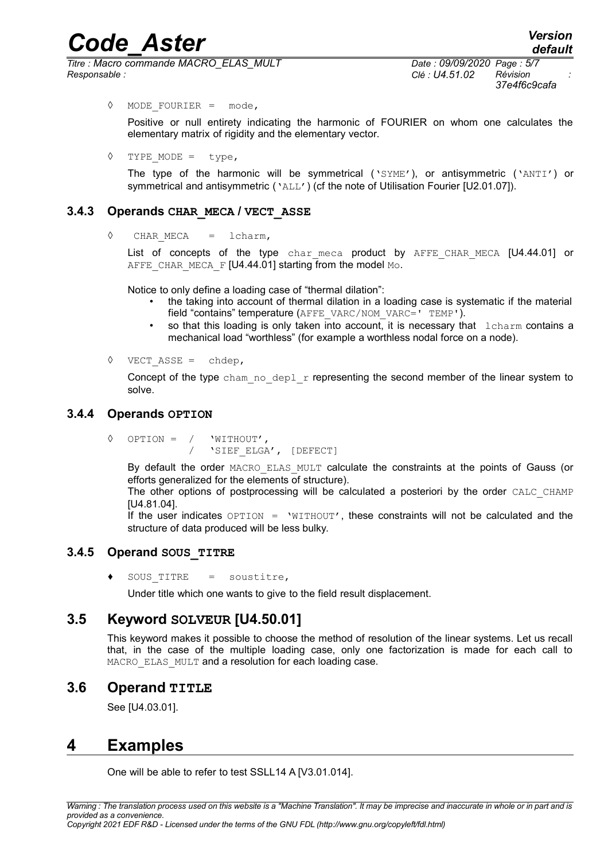*Titre : Macro commande MACRO\_ELAS\_MULT Date : 09/09/2020 Page : 5/7 Responsable : Clé : U4.51.02 Révision :*

*37e4f6c9cafa*

◊ MODE\_FOURIER = mode,

Positive or null entirety indicating the harmonic of FOURIER on whom one calculates the elementary matrix of rigidity and the elementary vector.

 $\Diamond$  TYPE MODE = type,

The type of the harmonic will be symmetrical ( $\text{YSWE}$ ), or antisymmetric ( $\text{YAWI}$ ) or symmetrical and antisymmetric ('ALL') (cf the note of Utilisation Fourier [U2.01.07]).

#### **3.4.3 Operands CHAR\_MECA / VECT\_ASSE**

◊ CHAR\_MECA = lcharm,

List of concepts of the type char meca product by AFFE CHAR MECA [U4.44.01] or AFFE\_CHAR\_MECA\_F [U4.44.01] starting from the model Mo.

Notice to only define a loading case of "thermal dilation":

- the taking into account of thermal dilation in a loading case is systematic if the material field "contains" temperature (AFFE\_VARC/NOM\_VARC=' TEMP').
- so that this loading is only taken into account, it is necessary that  $\Delta$  lcharm contains a mechanical load "worthless" (for example a worthless nodal force on a node).
- ◊ VECT\_ASSE = chdep,

Concept of the type cham no deplar representing the second member of the linear system to solve.

#### **3.4.4 Operands OPTION**

◊ OPTION = / 'WITHOUT', 'SIEF\_ELGA', [DEFECT]

By default the order MACRO ELAS MULT calculate the constraints at the points of Gauss (or efforts generalized for the elements of structure).

The other options of postprocessing will be calculated a posteriori by the order CALC CHAMP [U4.81.04].

If the user indicates  $OPTION = 'WITHOUT'$ , these constraints will not be calculated and the structure of data produced will be less bulky.

#### **3.4.5 Operand SOUS\_TITRE**

 $SOUS TITER = source$ 

Under title which one wants to give to the field result displacement.

#### **3.5 Keyword SOLVEUR [U4.50.01]**

This keyword makes it possible to choose the method of resolution of the linear systems. Let us recall that, in the case of the multiple loading case, only one factorization is made for each call to MACRO ELAS MULT and a resolution for each loading case.

#### **3.6 Operand TITLE**

See [U4.03.01].

### **4 Examples**

One will be able to refer to test SSLL14 A [V3.01.014].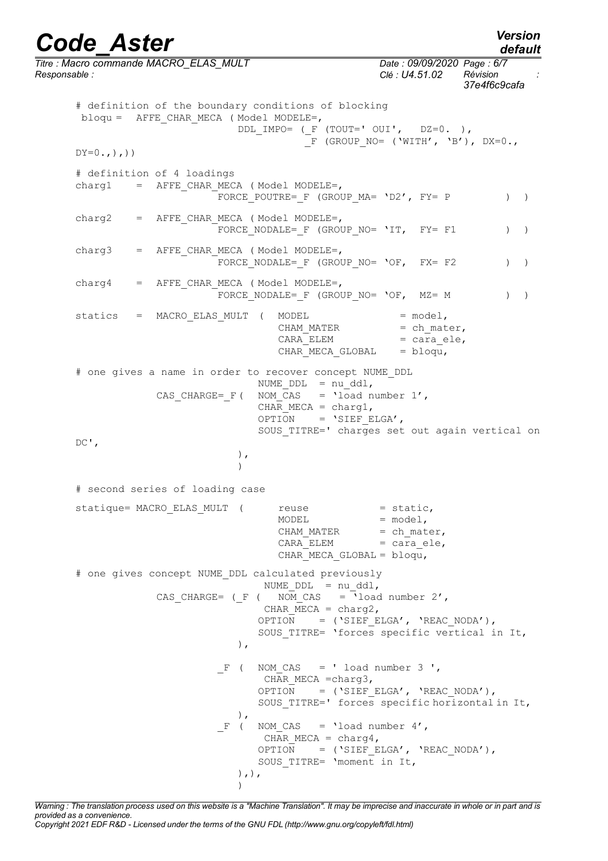*Titre : Macro commande MACRO\_ELAS\_MULT Date : 09/09/2020 Page : 6/7 Responsable : Clé : U4.51.02 Révision : 37e4f6c9cafa* # definition of the boundary conditions of blocking bloqu = AFFE CHAR MECA ( Model MODELE=, DDL IMPO= ( $F$  (TOUT=' OUI', DZ=0. ),  $\overline{F}$  (GROUP NO= ('WITH', 'B'), DX=0.,  $DY=0, ., ., )$ # definition of 4 loadings  $charg1 = AFFF$  CHAR MECA (Model MODELE=, -<br>FORCE\_POUTRE=\_F (GROUP\_MA= 'D2', FY= P ) )  $charge = A$  = AFFE CHAR MECA (Model MODELE=, FORCE NODALE= F (GROUP NO= 'IT, FY= F1 ) ) charg3 = AFFE CHAR MECA (Model MODELE=, FORCE NODALE= F (GROUP NO= 'OF, FX= F2 ) )  $charge = A$ FFE CHAR MECA ( Model MODELE=, FORCE NODALE= F (GROUP NO= 'OF,  $MZ = M$  ) ) statics = MACRO\_ELAS\_MULT ( MODEL = model, CHAM MATER  $=$  ch mater, CARA ELEM = cara ele, CHAR MECA GLOBAL = bloqu, # one gives a name in order to recover concept NUME\_DDL NUME  $DDL = nu ddl$ , CAS CHARGE=  $F($  NOM CAS = 'load number 1', CHAR MECA = charg1, OPTION = 'SIEF ELGA', SOUS\_TITRE=' charges set out again vertical on  $DC'$ , ),  $\lambda$ # second series of loading case statique= MACRO\_ELAS\_MULT ( reuse = static,  $MODEL$  =  $model$ , CHAM MATER  $=$  ch mater,  $CARA$   $ELEM$  =  $cara$ <sup>ele</sup>, CHAR MECA GLOBAL =  $blogu,$ # one gives concept NUME\_DDL calculated previously  $NUME_DDL = nu_ddl,$ CAS CHARGE= ( $F$  ( NOM CAS = 'load number 2', CHAR  $MECA = charq2$ , OPTION =  $('SIEF ELGA', 'REAC NODA'),$ SOUS\_TITRE= 'forces specific vertical in It, ),  $F$  ( NOM CAS = ' load number 3 ', CHAR MECA =charg3, OPTION =  $($ 'SIEF\_ELGA', 'REAC\_NODA'), SOUS TITRE=' forces specific horizontal in It, ),  $F$  ( NOM CAS = 'load number 4', CHAR MECA = charg4, OPTION = ('SIEF\_ELGA', 'REAC\_NODA'), SOUS TITRE= 'moment in It, ),),

*Warning : The translation process used on this website is a "Machine Translation". It may be imprecise and inaccurate in whole or in part and is provided as a convenience. Copyright 2021 EDF R&D - Licensed under the terms of the GNU FDL (http://www.gnu.org/copyleft/fdl.html)*

)